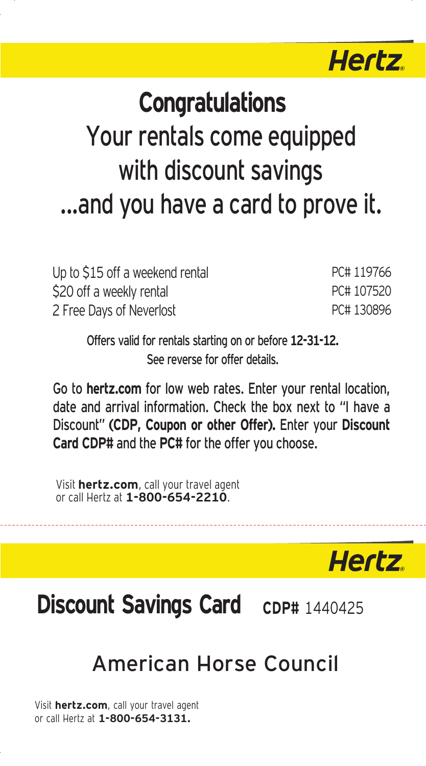

# **Congratulations. Congratulations**  Your rentals come equipped with discount savings ...and you have a card to prove it.

| Up to \$15 off a weekend rental | PC#119766  |
|---------------------------------|------------|
| \$20 off a weekly rental        | PC# 107520 |
| 2 Free Days of Neverlost        | PC#130896  |

Offers valid for rentals starting on or before **12-31-12.**  See reverse for offer details.

Go to **hertz.com** for low web rates. Enter your rental location, date and arrival information. Check the box next to "I have a Discount" **(CDP, Coupon or other Offer).** Enter your **Discount Card CDP#** and the **PC#** for the offer you choose.

Visit **hertz.com**, call your travel agent or call Hertz at **1-800-654-2210**.

**Hertz** 

## **Discount Savings Card cDP# 1440425**

### American Horse Council

Visit **hertz.com**, call your travel agent or call Hertz at **1-800-654-3131.**